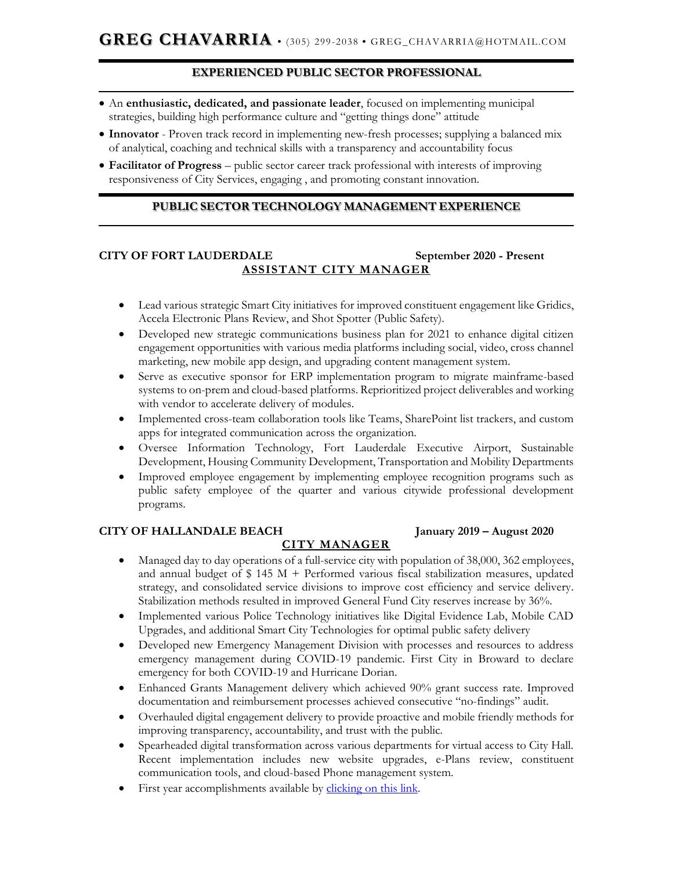## **EXPERIENCED PUBLIC SECTOR PROFESSIONAL**

- An **enthusiastic, dedicated, and passionate leader**, focused on implementing municipal strategies, building high performance culture and "getting things done" attitude
- **Innovator**  Proven track record in implementing new-fresh processes; supplying a balanced mix of analytical, coaching and technical skills with a transparency and accountability focus
- **Facilitator of Progress** public sector career track professional with interests of improving responsiveness of City Services, engaging , and promoting constant innovation.

## **PUBLIC SECTOR TECHNOLOGY MANAGEMENT EXPERIENCE**

## **CITY OF FORT LAUDERDALE September 2020 - Present ASSISTANT CITY MANAGER**

- Lead various strategic Smart City initiatives for improved constituent engagement like Gridics, Accela Electronic Plans Review, and Shot Spotter (Public Safety).
- Developed new strategic communications business plan for 2021 to enhance digital citizen engagement opportunities with various media platforms including social, video, cross channel marketing, new mobile app design, and upgrading content management system.
- Serve as executive sponsor for ERP implementation program to migrate mainframe-based systems to on-prem and cloud-based platforms. Reprioritized project deliverables and working with vendor to accelerate delivery of modules.
- Implemented cross-team collaboration tools like Teams, SharePoint list trackers, and custom apps for integrated communication across the organization.
- Oversee Information Technology, Fort Lauderdale Executive Airport, Sustainable Development, Housing Community Development, Transportation and Mobility Departments
- Improved employee engagement by implementing employee recognition programs such as public safety employee of the quarter and various citywide professional development programs.

#### **CITY OF HALLANDALE BEACH January 2019 – August 2020**

# **CITY MANAGER**

- Managed day to day operations of a full-service city with population of 38,000, 362 employees, and annual budget of  $$ 145 M + Performed various fiscal stabilization measures, updated$ strategy, and consolidated service divisions to improve cost efficiency and service delivery. Stabilization methods resulted in improved General Fund City reserves increase by 36%.
- Implemented various Police Technology initiatives like Digital Evidence Lab, Mobile CAD Upgrades, and additional Smart City Technologies for optimal public safety delivery
- Developed new Emergency Management Division with processes and resources to address emergency management during COVID-19 pandemic. First City in Broward to declare emergency for both COVID-19 and Hurricane Dorian.
- Enhanced Grants Management delivery which achieved 90% grant success rate. Improved documentation and reimbursement processes achieved consecutive "no-findings" audit.
- Overhauled digital engagement delivery to provide proactive and mobile friendly methods for improving transparency, accountability, and trust with the public.
- Spearheaded digital transformation across various departments for virtual access to City Hall. Recent implementation includes new website upgrades, e-Plans review, constituent communication tools, and cloud-based Phone management system.
- First year accomplishments available by [clicking on this link.](https://issuu.com/cohb/docs/hb_annual_report_2019?fr=sNDkyYzI3MjAzMA)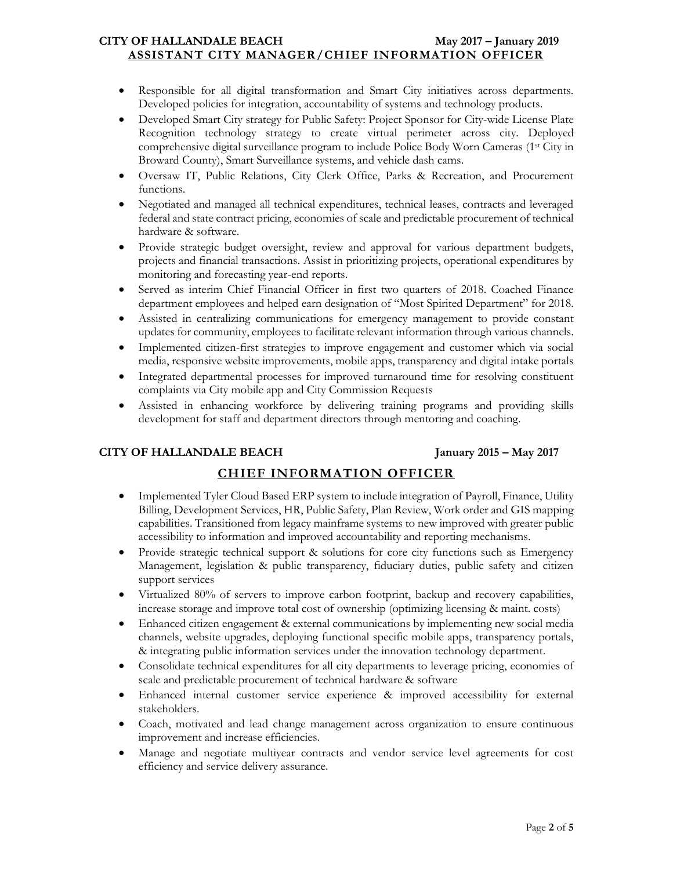#### **CITY OF HALLANDALE BEACH May 2017 – January 2019 ASSISTANT CITY MANAGER/CHIEF INFORMATION OFFICER**

- Responsible for all digital transformation and Smart City initiatives across departments. Developed policies for integration, accountability of systems and technology products.
- Developed Smart City strategy for Public Safety: Project Sponsor for City-wide License Plate Recognition technology strategy to create virtual perimeter across city. Deployed comprehensive digital surveillance program to include Police Body Worn Cameras (1st City in Broward County), Smart Surveillance systems, and vehicle dash cams.
- Oversaw IT, Public Relations, City Clerk Office, Parks & Recreation, and Procurement functions.
- Negotiated and managed all technical expenditures, technical leases, contracts and leveraged federal and state contract pricing, economies of scale and predictable procurement of technical hardware & software.
- Provide strategic budget oversight, review and approval for various department budgets, projects and financial transactions. Assist in prioritizing projects, operational expenditures by monitoring and forecasting year-end reports.
- Served as interim Chief Financial Officer in first two quarters of 2018. Coached Finance department employees and helped earn designation of "Most Spirited Department" for 2018.
- Assisted in centralizing communications for emergency management to provide constant updates for community, employees to facilitate relevant information through various channels.
- Implemented citizen-first strategies to improve engagement and customer which via social media, responsive website improvements, mobile apps, transparency and digital intake portals
- Integrated departmental processes for improved turnaround time for resolving constituent complaints via City mobile app and City Commission Requests
- Assisted in enhancing workforce by delivering training programs and providing skills development for staff and department directors through mentoring and coaching.

#### **CITY OF HALLANDALE BEACH January 2015 – May 2017**

# **CHIEF INFORMATION OFFICER**

- Implemented Tyler Cloud Based ERP system to include integration of Payroll, Finance, Utility Billing, Development Services, HR, Public Safety, Plan Review, Work order and GIS mapping capabilities. Transitioned from legacy mainframe systems to new improved with greater public accessibility to information and improved accountability and reporting mechanisms.
- Provide strategic technical support & solutions for core city functions such as Emergency Management, legislation & public transparency, fiduciary duties, public safety and citizen support services
- Virtualized 80% of servers to improve carbon footprint, backup and recovery capabilities, increase storage and improve total cost of ownership (optimizing licensing & maint. costs)
- Enhanced citizen engagement & external communications by implementing new social media channels, website upgrades, deploying functional specific mobile apps, transparency portals, & integrating public information services under the innovation technology department.
- Consolidate technical expenditures for all city departments to leverage pricing, economies of scale and predictable procurement of technical hardware & software
- Enhanced internal customer service experience & improved accessibility for external stakeholders.
- Coach, motivated and lead change management across organization to ensure continuous improvement and increase efficiencies.
- Manage and negotiate multiyear contracts and vendor service level agreements for cost efficiency and service delivery assurance.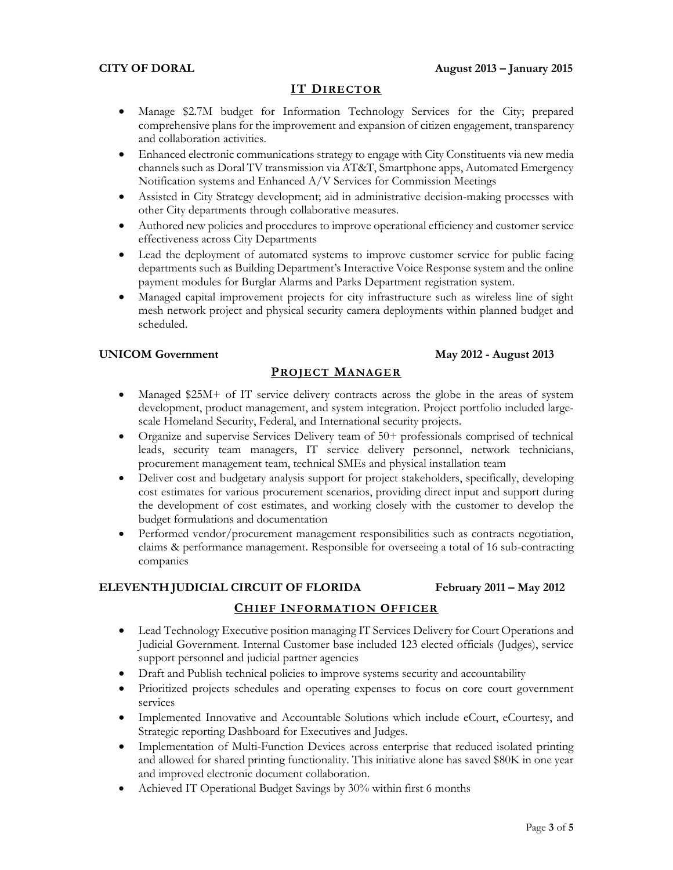## **IT DIRECTOR**

- Manage \$2.7M budget for Information Technology Services for the City; prepared comprehensive plans for the improvement and expansion of citizen engagement, transparency and collaboration activities.
- Enhanced electronic communications strategy to engage with City Constituents via new media channels such as Doral TV transmission via AT&T, Smartphone apps, Automated Emergency Notification systems and Enhanced A/V Services for Commission Meetings
- Assisted in City Strategy development; aid in administrative decision-making processes with other City departments through collaborative measures.
- Authored new policies and procedures to improve operational efficiency and customer service effectiveness across City Departments
- Lead the deployment of automated systems to improve customer service for public facing departments such as Building Department's Interactive Voice Response system and the online payment modules for Burglar Alarms and Parks Department registration system.
- Managed capital improvement projects for city infrastructure such as wireless line of sight mesh network project and physical security camera deployments within planned budget and scheduled.

#### **UNICOM Government May 2012 - August 2013**

#### **PROJECT MANAGER**

- Managed \$25M+ of IT service delivery contracts across the globe in the areas of system development, product management, and system integration. Project portfolio included largescale Homeland Security, Federal, and International security projects.
- Organize and supervise Services Delivery team of 50+ professionals comprised of technical leads, security team managers, IT service delivery personnel, network technicians, procurement management team, technical SMEs and physical installation team
- Deliver cost and budgetary analysis support for project stakeholders, specifically, developing cost estimates for various procurement scenarios, providing direct input and support during the development of cost estimates, and working closely with the customer to develop the budget formulations and documentation
- Performed vendor/procurement management responsibilities such as contracts negotiation, claims & performance management. Responsible for overseeing a total of 16 sub-contracting companies

#### **ELEVENTH JUDICIAL CIRCUIT OF FLORIDA February 2011 – May 2012**

#### **CHIEF INFORMATION OFFICER**

- Lead Technology Executive position managing IT Services Delivery for Court Operations and Judicial Government. Internal Customer base included 123 elected officials (Judges), service support personnel and judicial partner agencies
- Draft and Publish technical policies to improve systems security and accountability
- Prioritized projects schedules and operating expenses to focus on core court government services
- Implemented Innovative and Accountable Solutions which include eCourt, eCourtesy, and Strategic reporting Dashboard for Executives and Judges.
- Implementation of Multi-Function Devices across enterprise that reduced isolated printing and allowed for shared printing functionality. This initiative alone has saved \$80K in one year and improved electronic document collaboration.
- Achieved IT Operational Budget Savings by 30% within first 6 months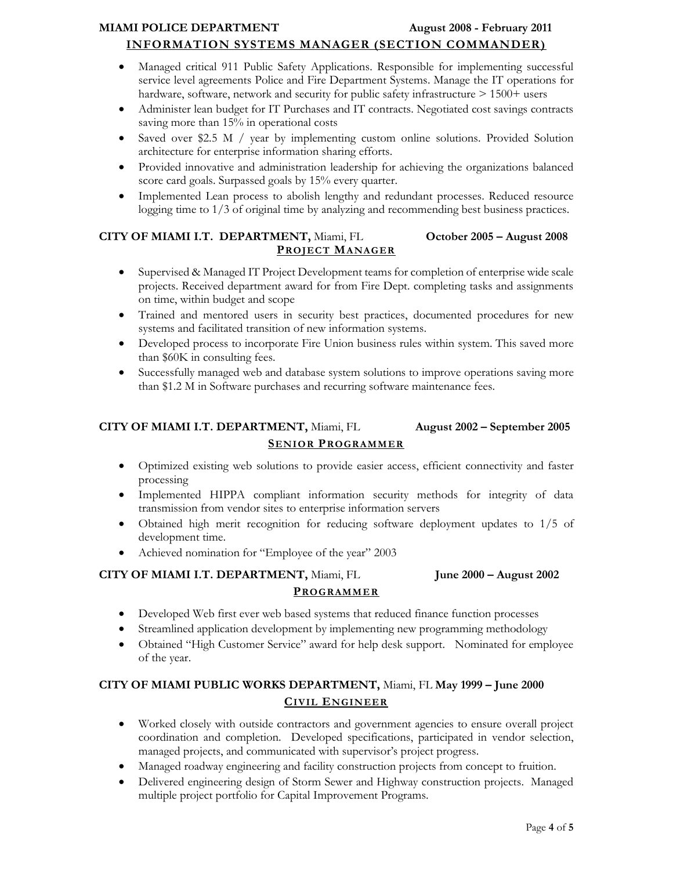# **MIAMI POLICE DEPARTMENT August 2008 - February 2011**

## **INFORMATION SYSTEMS MANAGER (SECTION COMMANDER)**

- Managed critical 911 Public Safety Applications. Responsible for implementing successful service level agreements Police and Fire Department Systems. Manage the IT operations for hardware, software, network and security for public safety infrastructure  $> 1500+$  users
- Administer lean budget for IT Purchases and IT contracts. Negotiated cost savings contracts saving more than 15% in operational costs
- Saved over \$2.5 M / year by implementing custom online solutions. Provided Solution architecture for enterprise information sharing efforts.
- Provided innovative and administration leadership for achieving the organizations balanced score card goals. Surpassed goals by 15% every quarter.
- Implemented Lean process to abolish lengthy and redundant processes. Reduced resource logging time to 1/3 of original time by analyzing and recommending best business practices.

## **CITY OF MIAMI I.T. DEPARTMENT,** Miami, FL **October 2005 – August 2008 PROJECT MANAGER**

- Supervised & Managed IT Project Development teams for completion of enterprise wide scale projects. Received department award for from Fire Dept. completing tasks and assignments on time, within budget and scope
- Trained and mentored users in security best practices, documented procedures for new systems and facilitated transition of new information systems.
- Developed process to incorporate Fire Union business rules within system. This saved more than \$60K in consulting fees.
- Successfully managed web and database system solutions to improve operations saving more than \$1.2 M in Software purchases and recurring software maintenance fees.

# **CITY OF MIAMI I.T. DEPARTMENT,** Miami, FL **August 2002 – September 2005 SENIOR PROGRAMMER**

- Optimized existing web solutions to provide easier access, efficient connectivity and faster processing
- Implemented HIPPA compliant information security methods for integrity of data transmission from vendor sites to enterprise information servers
- Obtained high merit recognition for reducing software deployment updates to 1/5 of development time.
- Achieved nomination for "Employee of the year" 2003

## **CITY OF MIAMI I.T. DEPARTMENT,** Miami, FL **June 2000 – August 2002 PROGRAMMER**

- Developed Web first ever web based systems that reduced finance function processes
- Streamlined application development by implementing new programming methodology
- Obtained "High Customer Service" award for help desk support. Nominated for employee of the year.

# **CITY OF MIAMI PUBLIC WORKS DEPARTMENT,** Miami, FL **May 1999 – June 2000 CIVIL ENGINEER**

- Worked closely with outside contractors and government agencies to ensure overall project coordination and completion. Developed specifications, participated in vendor selection, managed projects, and communicated with supervisor's project progress.
- Managed roadway engineering and facility construction projects from concept to fruition.
- Delivered engineering design of Storm Sewer and Highway construction projects. Managed multiple project portfolio for Capital Improvement Programs.